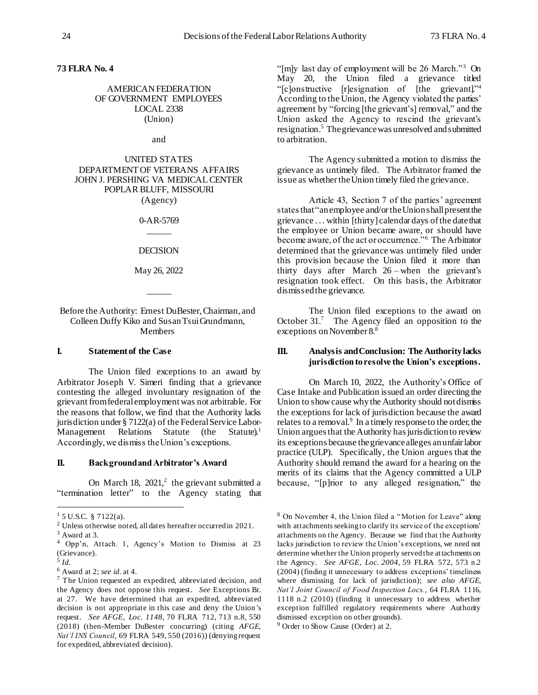**73 FLRA No. 4**

# AMERICAN FEDERATION OF GOVERNMENT EMPLOYEES LOCAL 2338 (Union)

and

# UNITED STATES DEPARTMENT OF VETERANS AFFAIRS JOHN J. PERSHING VA MEDICAL CENTER POPLAR BLUFF, MISSOURI (Agency)

0-AR-5769 \_\_\_\_\_

DECISION

May 26, 2022

 $\overline{\phantom{a}}$ 

Before the Authority: Ernest DuBester, Chairman, and Colleen Duffy Kiko and Susan Tsui Grundmann, **Members** 

#### **I. Statement of the Case**

The Union filed exceptions to an award by Arbitrator Joseph V. Simeri finding that a grievance contesting the alleged involuntary resignation of the grievant from federal employmentwas not arbitrable. For the reasons that follow, we find that the Authority lacks jurisdiction under § 7122(a) of the Federal Service Labor-Management Relations Statute (the Statute). $^1$ Accordingly, we dismiss the Union's exceptions.

## **II. Background and Arbitrator's Award**

On March 18,  $2021$ ,<sup>2</sup> the grievant submitted a "termination letter" to the Agency stating that

l

"[m]y last day of employment will be 26 March."<sup>3</sup> On May 20, the Union filed a grievance titled "[c]onstructive [r]esignation of [the grievant]." 4 According to the Union, the Agency violated the parties' agreement by "forcing [the grievant's] removal," and the Union asked the Agency to rescind the grievant's resignation. 5 The grievance was unresolved and submitted to arbitration.

The Agency submitted a motion to dismiss the grievance as untimely filed. The Arbitrator framed the issue as whether the Union timely filed the grievance.

Article 43, Section 7 of the parties' agreement states that "an employee and/or the Union shall present the grievance . . . within [thirty] calendar days of the date that the employee or Union became aware, or should have become aware, of the act or occurrence."<sup>6</sup> The Arbitrator determined that the grievance was untimely filed under this provision because the Union filed it more than thirty days after March 26 – when the grievant's resignation took effect. On this basis, the Arbitrator dismissed the grievance.

The Union filed exceptions to the award on October 31.<sup>7</sup> The Agency filed an opposition to the exceptions on November 8.<sup>8</sup>

# **III. Analysis and Conclusion: The Authority lacks jurisdiction to resolve the Union's exceptions.**

On March 10, 2022, the Authority's Office of Case Intake and Publication issued an order directing the Union to show cause why the Authority should not dismiss the exceptions for lack of jurisdiction because the award relates to a removal.<sup>9</sup> In a timely response to the order, the Union argues that the Authority has jurisdiction to review its exceptions because the grievance alleges an unfair labor practice (ULP). Specifically, the Union argues that the Authority should remand the award for a hearing on the merits of its claims that the Agency committed a ULP because, "[p]rior to any alleged resignation," the

 $15$  U.S.C. § 7122(a).

<sup>2</sup> Unless otherwise noted, all dates hereafter occurred in 2021.

<sup>3</sup> Award at 3.

<sup>4</sup> Opp'n, Attach. 1, Agency's Motion to Dismiss at 23 (Grievance).

<sup>5</sup> *Id.*

<sup>6</sup> Award at 2; *see id.* at 4.

<sup>7</sup> The Union requested an expedited, abbreviated decision, and the Agency does not oppose this request. *See* Exceptions Br. at 27. We have determined that an expedited, abbreviated decision is not appropriate in this case and deny the Union's request. *See AFGE, Loc. 1148*, 70 [FLRA 712, 713 n.8, 550](https://1.next.westlaw.com/Link/Document/FullText?findType=Y&serNum=2039740158&pubNum=0001028&originatingDoc=I434897718ae311e89a6efc60af1b5d9c&refType=CA&fi=co_pp_sp_1028_550&originationContext=document&transitionType=DocumentItem&ppcid=c4e5f214289743bbb7e192801cbbc54c&contextData=(sc.Search)#co_pp_sp_1028_550)  [\(2018\)](https://1.next.westlaw.com/Link/Document/FullText?findType=Y&serNum=2039740158&pubNum=0001028&originatingDoc=I434897718ae311e89a6efc60af1b5d9c&refType=CA&fi=co_pp_sp_1028_550&originationContext=document&transitionType=DocumentItem&ppcid=c4e5f214289743bbb7e192801cbbc54c&contextData=(sc.Search)#co_pp_sp_1028_550) (then-Member DuBester concurring) (citing *AFGE, Nat'l INS Council*, 69 FLRA 549, 550 (2016)) (denying request for expedited, abbreviated decision).

<sup>8</sup> On November 4, the Union filed a "Motion for Leave" along with attachments seeking to clarify its service of the exceptions' attachments on the Agency. Because we find that the Authority lacks jurisdiction to review the Union's exceptions, we need not determine whether the Union properly served the attachments on the Agency. *See AFGE, Loc. 2004*, 59 FLRA 572, 573 n.2 (2004) (finding it unnecessary to address exceptions' timeliness where dismissing for lack of jurisdiction); *see also AFGE, Nat'l Joint Council of Food Inspection Locs.*, 64 FLRA 1116, 1118 n.2 (2010) (finding it unnecessary to address whether exception fulfilled regulatory requirements where Authority dismissed exception on other grounds).

<sup>&</sup>lt;sup>9</sup> Order to Show Cause (Order) at 2.